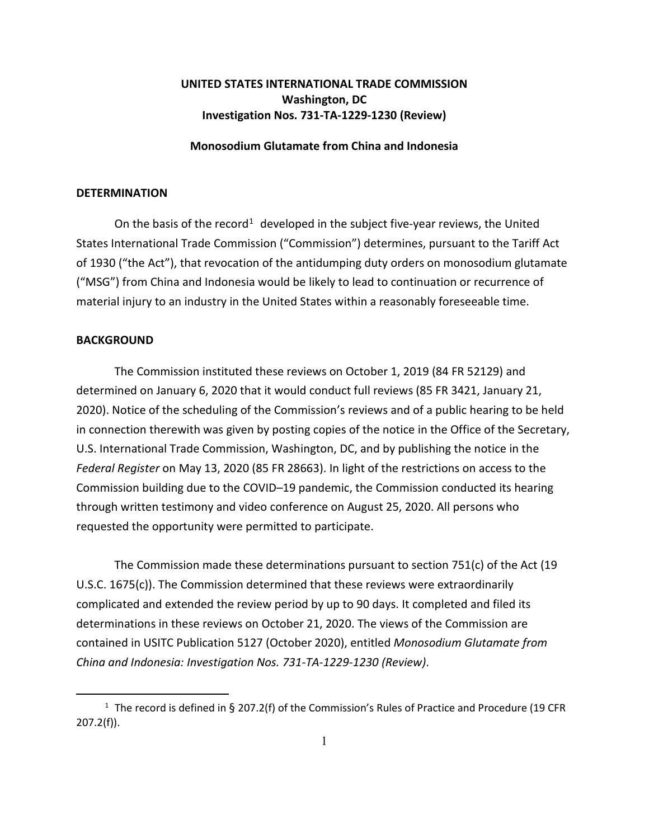## **UNITED STATES INTERNATIONAL TRADE COMMISSION Washington, DC Investigation Nos. 731-TA-1229-1230 (Review)**

## **Monosodium Glutamate from China and Indonesia**

## **DETERMINATION**

On the basis of the record<sup>[1](#page-0-0)</sup> developed in the subject five-year reviews, the United States International Trade Commission ("Commission") determines, pursuant to the Tariff Act of 1930 ("the Act"), that revocation of the antidumping duty orders on monosodium glutamate ("MSG") from China and Indonesia would be likely to lead to continuation or recurrence of material injury to an industry in the United States within a reasonably foreseeable time.

## **BACKGROUND**

The Commission instituted these reviews on October 1, 2019 (84 FR 52129) and determined on January 6, 2020 that it would conduct full reviews (85 FR 3421, January 21, 2020). Notice of the scheduling of the Commission's reviews and of a public hearing to be held in connection therewith was given by posting copies of the notice in the Office of the Secretary, U.S. International Trade Commission, Washington, DC, and by publishing the notice in the *Federal Register* on May 13, 2020 (85 FR 28663). In light of the restrictions on access to the Commission building due to the COVID–19 pandemic, the Commission conducted its hearing through written testimony and video conference on August 25, 2020. All persons who requested the opportunity were permitted to participate.

The Commission made these determinations pursuant to section 751(c) of the Act (19 U.S.C. 1675(c)). The Commission determined that these reviews were extraordinarily complicated and extended the review period by up to 90 days. It completed and filed its determinations in these reviews on October 21, 2020. The views of the Commission are contained in USITC Publication 5127 (October 2020), entitled *Monosodium Glutamate from China and Indonesia: Investigation Nos. 731-TA-1229-1230 (Review)*.

<span id="page-0-0"></span><sup>&</sup>lt;sup>1</sup> The record is defined in § 207.2(f) of the Commission's Rules of Practice and Procedure (19 CFR 207.2(f)).